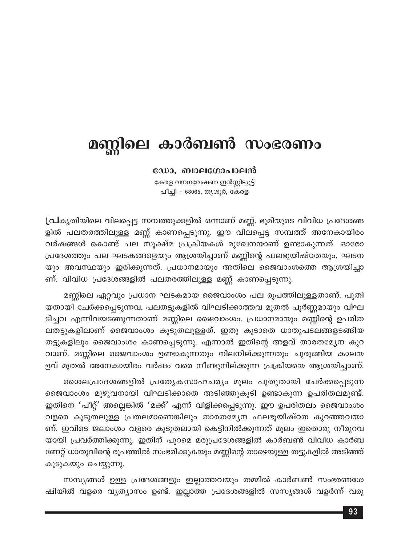## മണ്ണിലെ കാർബൺ സംഭരണം

## ഡോ. ബാലഗോപാലൻ

കേരള വനഗവേഷണ ഇൻസ്റ്റിട്യൂട്ട് പീച്ചി - 68065, തൃശൂർ, കേരള

(പികൃതിയിലെ വിലപ്പെട്ട സമ്പത്തുക്കളിൽ ഒന്നാണ് മണ്ണ്. ഭൂമിയുടെ വിവിധ പ്രദേശങ്ങ ളിൽ പലതരത്തിലുള്ള മണ്ണ് കാണപ്പെടുന്നു. ഈ വിലപ്പെട്ട സമ്പത്ത് അനേകായിരം വർഷങ്ങൾ കൊണ്ട് പല സൂക്ഷ്മ പ്രക്രിയകൾ മുഖേനയാണ് ഉണ്ടാകുന്നത്. ഓരോ പ്രദേശത്തും പല ഘടകങ്ങളെയും ആശ്രയിച്ചാണ് മണ്ണിന്റെ ഫലഭൂയിഷ്ഠതയും, ഘടന യും അവസ്ഥയും ഇരിക്കുന്നത്. പ്രധാനമായും അതിലെ ജൈവാംശത്തെ ആശ്രയിച്ചാ ണ്. വിവിധ പ്രദേശങ്ങളിൽ പലതരത്തിലുള്ള മണ്ണ് കാണപ്പെടുന്നു.

മണ്ണിലെ ഏറ്റവും പ്രധാന ഘടകമായ ജൈവാംശം പല രൂപത്തിലുള്ളതാണ്. പുതി യതായി ചേർക്കപ്പെടുന്നവ, പലതട്ടുകളിൽ വിഘടിക്കാത്തവ മുതൽ പൂർണ്ണമായും വിഘ ടിച്ചവ എന്നിവയടങ്ങുന്നതാണ് മണ്ണിലെ ജൈവാംശം. പ്രധാനമായും മണ്ണിന്റെ ഉപരിത ലതട്ടുകളിലാണ് ജൈവാംശം കൂടുതലുള്ളത്. ഇതു കൂടാതെ ധാതുപടലങ്ങളടങ്ങിയ തട്ടുകളിലും ജൈവാംശം കാണപ്പെടുന്നു. എന്നാൽ ഇതിന്റെ അളവ് താരതമ്യേന കുറ വാണ്. മണ്ണിലെ ജൈവാംശം ഉണ്ടാകുന്നതും നിലനില്ക്കുന്നതും ചുരുങ്ങിയ കാലയ ളവ് മുതൽ അനേകായിരം വർഷം വരെ നീണ്ടുനില്ക്കുന്ന പ്രക്രിയയെ ആശ്രയിച്ചാണ്.

ശൈലപ്രദേശങ്ങളിൽ പ്രത്യേകസാഹചര്യം മൂലം പുതുതായി ചേർക്കപ്പെടുന്ന ജൈവാംശം മുഴുവനായി വിഘടിക്കാതെ അടിഞ്ഞുകൂടി ഉണ്ടാകുന്ന ഉപരിതലമുണ്ട്. ഇതിനെ 'പീറ്റ്' അല്ലെങ്കിൽ 'മക്ക്' എന്ന് വിളിക്കപ്പെടുന്നു. ഈ ഉപരിതലം ജൈവാംശം വളരെ കൂടുതലുള്ള പ്രതലമാണെങ്കിലും താരതമ്യേന ഫലഭൂയിഷ്ഠത കുറഞ്ഞവയാ ണ്. ഇവിടെ ജലാംശം വളരെ കൂടുതലായി കെട്ടിനിൽക്കുന്നത് മൂലം ഇതൊരു നീരുറവ യായി പ്രവർത്തിക്കുന്നു. ഇതിന് പുറമെ മരുപ്രദേശങ്ങളിൽ കാർബൺ വിവിധ കാർബ ണേറ്റ് ധാതുവിന്റെ രൂപത്തിൽ സംഭരിക്കുകയും മണ്ണിന്റെ താഴെയുള്ള തട്ടുകളിൽ അടിഞ്ഞ് കൂടുകയും ചെയ്യുന്നു.

സസ്യങ്ങൾ ഉള്ള പ്രദേശങ്ങളും ഇല്ലാത്തവയും തമ്മിൽ കാർബൺ സംഭരണശേ ഷിയിൽ വളരെ വ്യത്യാസം ഉണ്ട്. ഇല്ലാത്ത പ്രദേശങ്ങളിൽ സസ്യങ്ങൾ വളർന്ന് വരു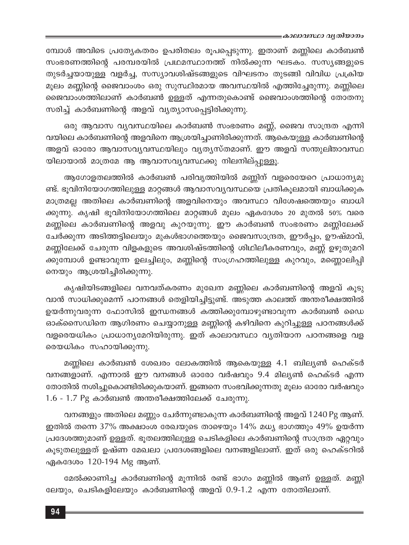∍കാലാവസ്ഥാ വൃതിയാനം

മ്പോൾ അവിടെ പ്രത്യേകതരം ഉപരിതലം രൂപപ്പെടുന്നു. ഇതാണ് മണ്ണിലെ കാർബൺ സംഭരണത്തിന്റെ പരമ്പരയിൽ പ്രഥമസ്ഥാനത്ത് നിൽക്കുന്ന ഘടകം. സസ്യങ്ങളുടെ തുടർച്ചയായുള്ള വളർച്ച, സസ്യാവശിഷ്ടങ്ങളുടെ വിഘടനം തുടങ്ങി വിവിധ പ്രക്രിയ മൂലം മണ്ണിന്റെ ജൈവാംശം ഒരു സുസ്ഥിരമായ അവസ്ഥയിൽ എത്തിച്ചേരുന്നു. മണ്ണിലെ ജൈവാംശത്തിലാണ് കാർബൺ ഉള്ളത് എന്നതുകൊണ്ട് ജൈവാംശത്തിന്റെ തോതനു സരിച്ച് കാർബണിന്റെ അളവ് വ്യത്യാസപ്പെട്ടിരിക്കുന്നു.

ഒരു ആവാസ വ്യവസ്ഥയിലെ കാർബൺ സംഭരണം മണ്ണ്, ജൈവ സാന്ദ്രത എന്നി വയിലെ കാർബണിന്റെ അളവിനെ ആശ്രയിച്ചാണിരിക്കുന്നത്. ആകെയുള്ള കാർബണിന്റെ അളവ് ഓരോ ആവാസവ്യവസ്ഥയിലും വ്യത്യസ്തമാണ്. ഈ അളവ് സന്തുലിതാവസ്ഥ യിലായാൽ മാത്രമേ ആ ആവാസവ്യവസ്ഥക്കു നിലനില്പ്പുള്ളൂ.

ആഗോളതലത്തിൽ കാർബൺ പരിവൃത്തിയിൽ മണ്ണിന് വളരെയേറെ പ്രാധാന്യമു ണ്ട്. ഭൂവിനിയോഗത്തിലുള്ള മാറ്റങ്ങൾ ആവാസവ്യവസ്ഥയെ പ്രതികൂലമായി ബാധിക്കുക മാത്രമല്ല അതിലെ കാർബണിന്റെ അളവിനെയും അവസ്ഥാ വിശേഷത്തെയും ബാധി ക്കുന്നു. കൃഷി ഭൂവിനിയോഗത്തിലെ മാറ്റങ്ങൾ മൂലം ഏകദേശം 20 മുതൽ 50% വരെ മണ്ണിലെ കാർബണിന്റെ അളവു കുറയുന്നു. ഈ കാർബൺ സംഭരണം മണ്ണിലേക്ക് ചേർക്കുന്ന അടിത്തട്ടിലെയും മുകൾഭാഗത്തെയും ജൈവസാന്ദ്രത, ഈർപ്പം, ഊഷ്മാവ്, മണ്ണിലേക്ക് ചേരുന്ന വിളകളുടെ അവശിഷ്ടത്തിന്റെ ശിഥിലീകരണവും, മണ്ണ് ഉഴുതുമറി ക്കുമ്പോൾ ഉണ്ടാവുന്ന ഉലച്ചിലും, മണ്ണിന്റെ സംഗ്രഹത്തിലുള്ള കുറവും, മണ്ണൊലിപ്പി നെയും ആശ്രയിച്ചിരിക്കുന്നു.

കൃഷിയിടങ്ങളിലെ വനവത്കരണം മുഖേന മണ്ണിലെ കാർബണിന്റെ അളവ് കൂടു വാൻ സാധിക്കുമെന്ന് പഠനങ്ങൾ തെളിയിച്ചിട്ടുണ്ട്. അടുത്ത കാലത്ത് അന്തരീക്ഷത്തിൽ ഉയർന്നുവരുന്ന ഫോസിൽ ഇന്ധനങ്ങൾ കത്തിക്കുമ്പോഴുണ്ടാവുന്ന കാർബൺ ഡൈ ഓക്സൈഡിനെ ആഗിരണം ചെയ്യാനുള്ള മണ്ണിന്റെ കഴിവിനെ കുറിച്ചുള്ള പഠനങ്ങൾക്ക് വളരെയധികം പ്രാധാന്യമേറിയിരുന്നു. ഇത് കാലാവസ്ഥാ വ്യതിയാന പഠനങ്ങളെ വള രെയധികം സഹായിക്കുന്നു.

മണ്ണിലെ കാർബൺ ശേഖരം ലോകത്തിൽ ആകെയുള്ള 4.1 ബില്യൺ ഹെക്ടർ വനങ്ങളാണ്. എന്നാൽ ഈ വനങ്ങൾ ഓരോ വർഷവും 9.4 മില്യൺ ഹെക്ടർ എന്ന തോതിൽ നശിച്ചുകൊണ്ടിരിക്കുകയാണ്. ഇങ്ങനെ സംഭവിക്കുന്നതു മൂലം ഓരോ വർഷവും 1.6 - 1.7 Pg കാർബൺ അന്തരീക്ഷത്തിലേക്ക് ചേരുന്നു.

വനങ്ങളും അതിലെ മണ്ണും ചേർന്നുണ്ടാകുന്ന കാർബണിന്റെ അളവ് 1240 Pg ആണ്. ഇതിൽ തന്നെ 37% അക്ഷാംശ രേഖയുടെ താഴെയും 14% മധ്യ ഭാഗത്തും 49% ഉയർന്ന പ്രദേശത്തുമാണ് ഉള്ളത്. ഭൂതലത്തിലുള്ള ചെടികളിലെ കാർബണിന്റെ സാന്ദ്രത ഏറ്റവും കൂടുതലുള്ളത് ഉഷ്ണ മേഖലാ പ്രദേശങ്ങളിലെ വനങ്ങളിലാണ്. ഇത് ഒരു ഹെക്ടറിൽ ഏകദേശം 120-194 Mg ആണ്.

മേൽക്കാണിച്ച കാർബണിന്റെ മൂന്നിൽ രണ്ട് ഭാഗം മണ്ണിൽ ആണ് ഉള്ളത്. മണ്ണി ലേയും, ചെടികളിലേയും കാർബണിന്റെ അളവ് 0.9-1.2 എന്ന തോതിലാണ്.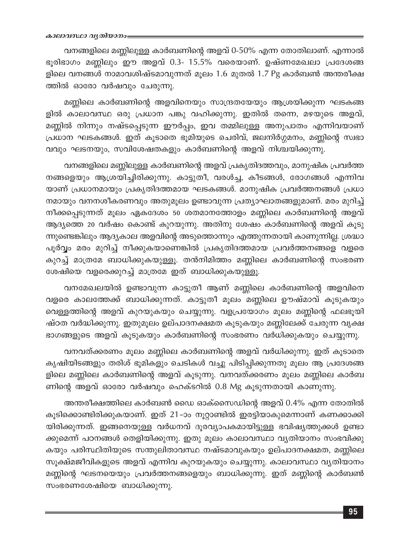വനങ്ങളിലെ മണ്ണിലുള്ള കാർബണിന്റെ അളവ് 0-50% എന്ന തോതിലാണ്. എന്നാൽ ഭൂരിഭാഗം മണ്ണിലും ഈ അളവ് 0.3- 15.5% വരെയാണ്. ഉഷ്ണമേഖലാ പ്രദേശങ്ങ ളിലെ വനങ്ങൾ നാമാവശിഷ്ടമാവുന്നത് മൂലം 1.6 മുതൽ 1.7 Pg കാർബൺ അന്തരീക്ഷ ത്തിൽ ഓരോ വർഷവും ചേരുന്നു.

മണ്ണിലെ കാർബണിന്റെ അളവിനെയും സാന്ദ്രതയേയും ആശ്രയിക്കുന്ന ഘടകങ്ങ ളിൽ കാലാവസ്ഥ ഒരു പ്രധാന പങ്കു വഹിക്കുന്നു. ഇതിൽ തന്നെ, മഴയുടെ അളവ്, മണ്ണിൽ നിന്നും നഷ്ടപ്പെടുന്ന ഈർപ്പം, ഇവ തമ്മിലുള്ള അനുപാതം എന്നിവയാണ് പ്രധാന ഘടകങ്ങൾ. ഇത് കൂടാതെ ഭൂമിയുടെ ചെരിവ്, ജലനിർഗ്ഗമനം, മണ്ണിന്റെ സ്വഭാ വവും ഘടനയും, സവിശേഷതകളും കാർബണിന്റെ അളവ് നിശ്ചയിക്കുന്നു.

വനങ്ങളിലെ മണ്ണിലുള്ള കാർബണിന്റെ അളവ് പ്രകൃതിദത്തവും, മാനുഷിക പ്രവർത്ത നങ്ങളെയും ആശ്രയിച്ചിരിക്കുന്നു. കാട്ടുതീ, വരൾച്ച, കീടങ്ങൾ, രോഗങ്ങൾ എന്നിവ യാണ് പ്രധാനമായും പ്രകൃതിദത്തമായ ഘടകങ്ങൾ. മാനുഷിക പ്രവർത്തനങ്ങൾ പ്രധാ നമായും വനനശീകരണവും അതുമൂലം ഉണ്ടാവുന്ന പ്രത്യാഘാതങ്ങളുമാണ്. മരം മുറിച്ച് നീക്കപ്പെടുന്നത് മൂലം ഏകദേശം 50 ശതമാനത്തോളം മണ്ണിലെ കാർബണിന്റെ അളവ് ആദ്യത്തെ 20 വർഷം കൊണ്ട് കുറയുന്നു. അതിനു ശേഷം കാർബണിന്റെ അളവ് കൂടു ന്നുണ്ടെങ്കിലും ആദ്യകാല അളവിന്റെ അടുത്തൊന്നും എത്തുന്നതായി കാണുന്നില്ല. ശ്രദ്ധാ പൂർവ്വം മരം മുറിച്ച് നീക്കുകയാണെങ്കിൽ പ്രകൃതിദത്തമായ പ്രവർത്തനങ്ങളെ വളരെ കുറച്ച് മാത്രമേ ബാധിക്കുകയുള്ളൂ. തൻനിമിത്തം മണ്ണിലെ കാർബണിന്റെ സംഭരണ ശേഷിയെ വളരെക്കുറച്ച് മാത്രമേ ഇത് ബാധിക്കുകയുള്ളൂ.

വനമേഖലയിൽ ഉണ്ടാവുന്ന കാട്ടുതീ ആണ് മണ്ണിലെ കാർബണിന്റെ അളവിനെ വളരെ കാലത്തേക്ക് ബാധിക്കുന്നത്. കാട്ടുതീ മൂലം മണ്ണിലെ ഊഷ്മാവ് കൂടുകയും വെള്ളത്തിന്റെ അളവ് കുറയുകയും ചെയ്യുന്നു. വളപ്രയോഗം മൂലം മണ്ണിന്റെ ഫലഭൂയി ഷ്ഠത വർദ്ധിക്കുന്നു. ഇതുമൂലം ഉല്പാദനക്ഷമത കൂടുകയും മണ്ണിലേക്ക് ചേരുന്ന വൃക്ഷ ഭാഗങ്ങളുടെ അളവ് കൂടുകയും കാർബണിന്റെ സംഭരണം വർധിക്കുകയും ചെയ്യുന്നു.

വനവത്ക്കരണം മൂലം മണ്ണിലെ കാർബണിന്റെ അളവ് വർധിക്കുന്നു. ഇത് കൂടാതെ കൃഷിയിടങ്ങളും തരിശ് ഭൂമികളും ചെടികൾ വച്ചു പിടിപ്പിക്കുന്നതു മൂലം ആ പ്രദേശങ്ങ ളിലെ മണ്ണിലെ കാർബണിന്റെ അളവ് കൂടുന്നു. വനവത്ക്കരണം മൂലം മണ്ണിലെ കാർബ ണിന്റെ അളവ് ഓരോ വർഷവും ഹെക്ടറിൽ 0.8 Mg കൂടുന്നതായി കാണുന്നു.

അന്തരീക്ഷത്തിലെ കാർബൺ ഡൈ ഓക്സൈഡിന്റെ അളവ് 0.4% എന്ന തോതിൽ കൂടിക്കൊണ്ടിരിക്കുകയാണ്. ഇത് 21–ാം നൂറ്റാണ്ടിൽ ഇരട്ടിയാകുമെന്നാണ് കണക്കാക്കി യിരിക്കുന്നത്. ഇങ്ങനെയുള്ള വർധനവ് ദൂരവ്യാപകമായിട്ടുള്ള ഭവിഷ്യത്തുക്കൾ ഉണ്ടാ ക്കുമെന്ന് പഠനങ്ങൾ തെളിയിക്കുന്നു. ഇതു മൂലം കാലാവസ്ഥാ വ്യതിയാനം സംഭവിക്കു കയും പരിസ്ഥിതിയുടെ സന്തുലിതാവസ്ഥ നഷ്ടമാവുകയും ഉല്പാദനക്ഷമത, മണ്ണിലെ സൂക്ഷ്മജീവികളുടെ അളവ് എന്നിവ കുറയുകയും ചെയ്യുന്നു. കാലാവസ്ഥാ വ്യതിയാനം മണ്ണിന്റെ ഘടനയെയും പ്രവർത്തനങ്ങളെയും ബാധിക്കുന്നു. ഇത് മണ്ണിന്റെ കാർബൺ സംഭരണശേഷിയെ ബാധിക്കുന്നു.